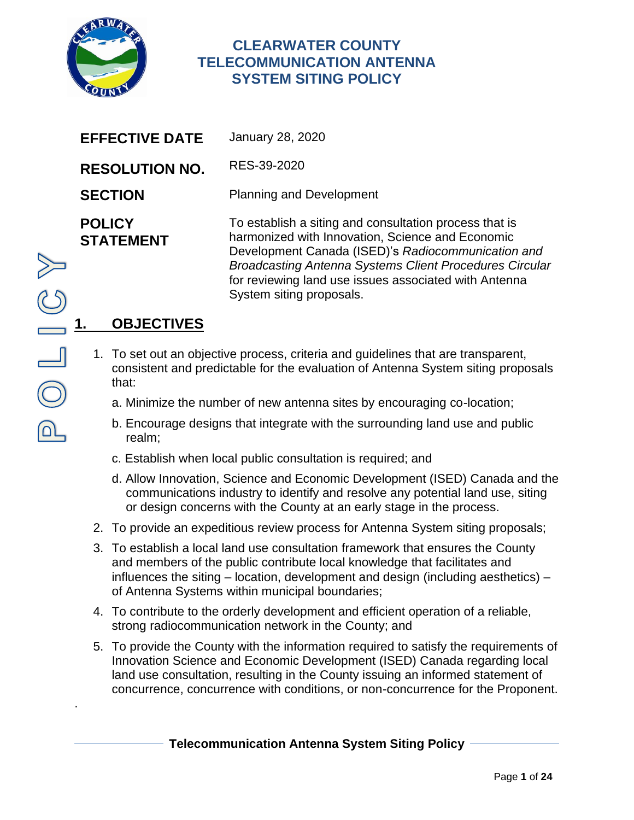

# **CLEARWATER COUNTY TELECOMMUNICATION ANTENNA SYSTEM SITING POLICY**

| <b>EFFECTIVE DATE</b>             | <b>January 28, 2020</b>                                                                                                                                                                                                                                                                                                 |
|-----------------------------------|-------------------------------------------------------------------------------------------------------------------------------------------------------------------------------------------------------------------------------------------------------------------------------------------------------------------------|
| <b>RESOLUTION NO.</b>             | RES-39-2020                                                                                                                                                                                                                                                                                                             |
| <b>SECTION</b>                    | <b>Planning and Development</b>                                                                                                                                                                                                                                                                                         |
| <b>POLICY</b><br><b>STATEMENT</b> | To establish a siting and consultation process that is<br>harmonized with Innovation, Science and Economic<br>Development Canada (ISED)'s Radiocommunication and<br><b>Broadcasting Antenna Systems Client Procedures Circular</b><br>for reviewing land use issues associated with Antenna<br>System siting proposals. |

# **1. OBJECTIVES**

- 1. To set out an objective process, criteria and guidelines that are transparent, consistent and predictable for the evaluation of Antenna System siting proposals that:
	- a. Minimize the number of new antenna sites by encouraging co-location;
	- b. Encourage designs that integrate with the surrounding land use and public realm;
	- c. Establish when local public consultation is required; and
	- d. Allow Innovation, Science and Economic Development (ISED) Canada and the communications industry to identify and resolve any potential land use, siting or design concerns with the County at an early stage in the process.
- 2. To provide an expeditious review process for Antenna System siting proposals;
- 3. To establish a local land use consultation framework that ensures the County and members of the public contribute local knowledge that facilitates and influences the siting – location, development and design (including aesthetics) – of Antenna Systems within municipal boundaries;
- 4. To contribute to the orderly development and efficient operation of a reliable, strong radiocommunication network in the County; and
- 5. To provide the County with the information required to satisfy the requirements of Innovation Science and Economic Development (ISED) Canada regarding local land use consultation, resulting in the County issuing an informed statement of concurrence, concurrence with conditions, or non-concurrence for the Proponent.

.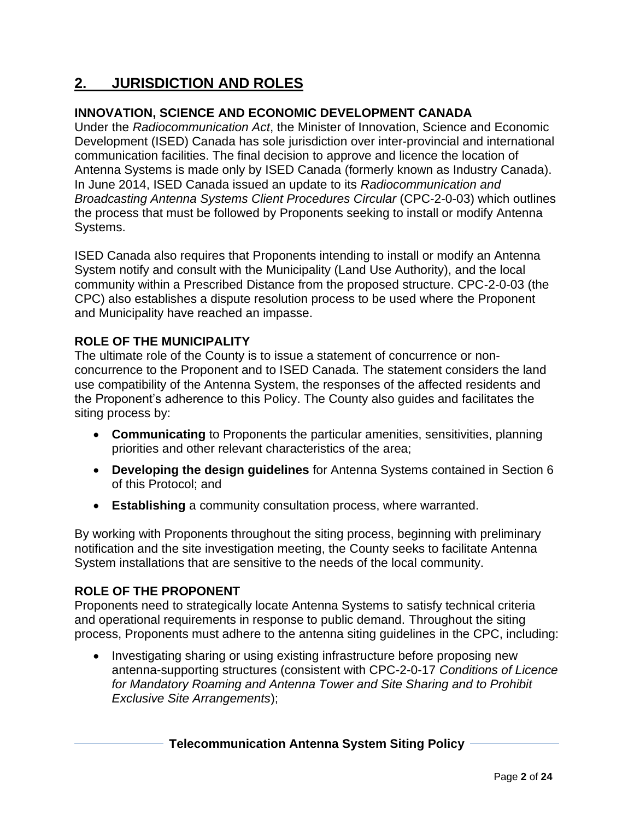# **2. JURISDICTION AND ROLES**

## **INNOVATION, SCIENCE AND ECONOMIC DEVELOPMENT CANADA**

Under the *Radiocommunication Act*, the Minister of Innovation, Science and Economic Development (ISED) Canada has sole jurisdiction over inter-provincial and international communication facilities. The final decision to approve and licence the location of Antenna Systems is made only by ISED Canada (formerly known as Industry Canada). In June 2014, ISED Canada issued an update to its *Radiocommunication and Broadcasting Antenna Systems Client Procedures Circular* (CPC-2-0-03) which outlines the process that must be followed by Proponents seeking to install or modify Antenna Systems.

ISED Canada also requires that Proponents intending to install or modify an Antenna System notify and consult with the Municipality (Land Use Authority), and the local community within a Prescribed Distance from the proposed structure. CPC-2-0-03 (the CPC) also establishes a dispute resolution process to be used where the Proponent and Municipality have reached an impasse.

## **ROLE OF THE MUNICIPALITY**

The ultimate role of the County is to issue a statement of concurrence or nonconcurrence to the Proponent and to ISED Canada. The statement considers the land use compatibility of the Antenna System, the responses of the affected residents and the Proponent's adherence to this Policy. The County also guides and facilitates the siting process by:

- **Communicating** to Proponents the particular amenities, sensitivities, planning priorities and other relevant characteristics of the area;
- **Developing the design guidelines** for Antenna Systems contained in Section 6 of this Protocol; and
- **Establishing** a community consultation process, where warranted.

By working with Proponents throughout the siting process, beginning with preliminary notification and the site investigation meeting, the County seeks to facilitate Antenna System installations that are sensitive to the needs of the local community.

## **ROLE OF THE PROPONENT**

Proponents need to strategically locate Antenna Systems to satisfy technical criteria and operational requirements in response to public demand. Throughout the siting process, Proponents must adhere to the antenna siting guidelines in the CPC, including:

• Investigating sharing or using existing infrastructure before proposing new antenna-supporting structures (consistent with CPC-2-0-17 *Conditions of Licence for Mandatory Roaming and Antenna Tower and Site Sharing and to Prohibit Exclusive Site Arrangements*);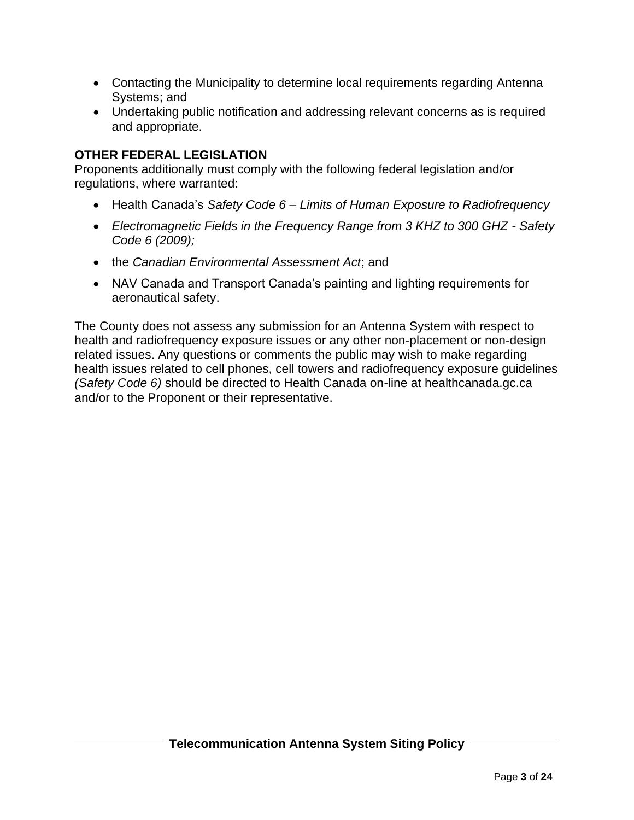- Contacting the Municipality to determine local requirements regarding Antenna Systems; and
- Undertaking public notification and addressing relevant concerns as is required and appropriate.

#### **OTHER FEDERAL LEGISLATION**

Proponents additionally must comply with the following federal legislation and/or regulations, where warranted:

- Health Canada's *Safety Code 6 – Limits of Human Exposure to Radiofrequency*
- *Electromagnetic Fields in the Frequency Range from 3 KHZ to 300 GHZ - Safety Code 6 (2009);*
- the *Canadian Environmental Assessment Act*; and
- NAV Canada and Transport Canada's painting and lighting requirements for aeronautical safety.

The County does not assess any submission for an Antenna System with respect to health and radiofrequency exposure issues or any other non-placement or non-design related issues. Any questions or comments the public may wish to make regarding health issues related to cell phones, cell towers and radiofrequency exposure guidelines *(Safety Code 6)* should be directed to Health Canada on-line at healthcanada.gc.ca and/or to the Proponent or their representative.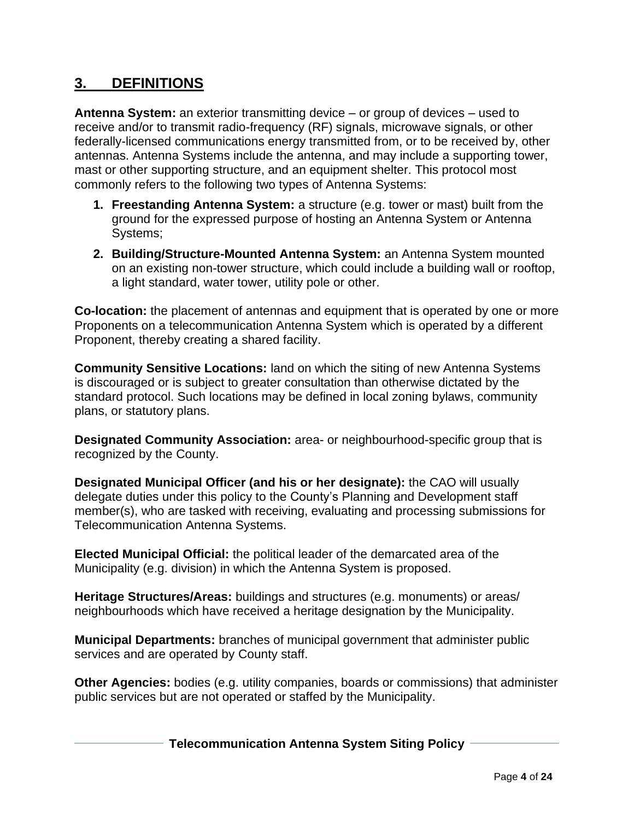# **3. DEFINITIONS**

**Antenna System:** an exterior transmitting device – or group of devices – used to receive and/or to transmit radio-frequency (RF) signals, microwave signals, or other federally-licensed communications energy transmitted from, or to be received by, other antennas. Antenna Systems include the antenna, and may include a supporting tower, mast or other supporting structure, and an equipment shelter. This protocol most commonly refers to the following two types of Antenna Systems:

- **1. Freestanding Antenna System:** a structure (e.g. tower or mast) built from the ground for the expressed purpose of hosting an Antenna System or Antenna Systems;
- **2. Building/Structure-Mounted Antenna System:** an Antenna System mounted on an existing non-tower structure, which could include a building wall or rooftop, a light standard, water tower, utility pole or other.

**Co-location:** the placement of antennas and equipment that is operated by one or more Proponents on a telecommunication Antenna System which is operated by a different Proponent, thereby creating a shared facility.

**Community Sensitive Locations:** land on which the siting of new Antenna Systems is discouraged or is subject to greater consultation than otherwise dictated by the standard protocol. Such locations may be defined in local zoning bylaws, community plans, or statutory plans.

**Designated Community Association:** area- or neighbourhood-specific group that is recognized by the County.

**Designated Municipal Officer (and his or her designate):** the CAO will usually delegate duties under this policy to the County's Planning and Development staff member(s), who are tasked with receiving, evaluating and processing submissions for Telecommunication Antenna Systems.

**Elected Municipal Official:** the political leader of the demarcated area of the Municipality (e.g. division) in which the Antenna System is proposed.

**Heritage Structures/Areas:** buildings and structures (e.g. monuments) or areas/ neighbourhoods which have received a heritage designation by the Municipality.

**Municipal Departments:** branches of municipal government that administer public services and are operated by County staff.

**Other Agencies:** bodies (e.g. utility companies, boards or commissions) that administer public services but are not operated or staffed by the Municipality.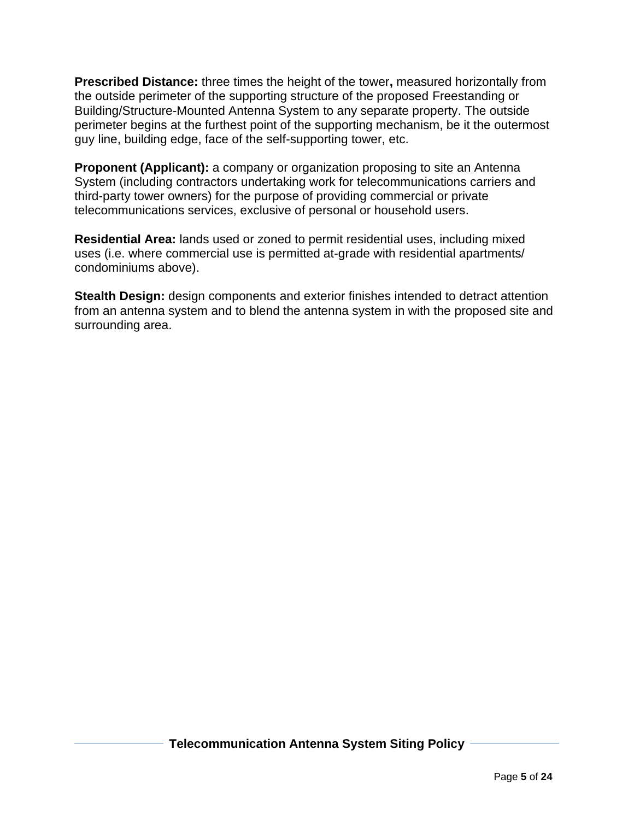**Prescribed Distance:** three times the height of the tower**,** measured horizontally from the outside perimeter of the supporting structure of the proposed Freestanding or Building/Structure-Mounted Antenna System to any separate property. The outside perimeter begins at the furthest point of the supporting mechanism, be it the outermost guy line, building edge, face of the self-supporting tower, etc.

**Proponent (Applicant):** a company or organization proposing to site an Antenna System (including contractors undertaking work for telecommunications carriers and third-party tower owners) for the purpose of providing commercial or private telecommunications services, exclusive of personal or household users.

**Residential Area:** lands used or zoned to permit residential uses, including mixed uses (i.e. where commercial use is permitted at-grade with residential apartments/ condominiums above).

**Stealth Design:** design components and exterior finishes intended to detract attention from an antenna system and to blend the antenna system in with the proposed site and surrounding area.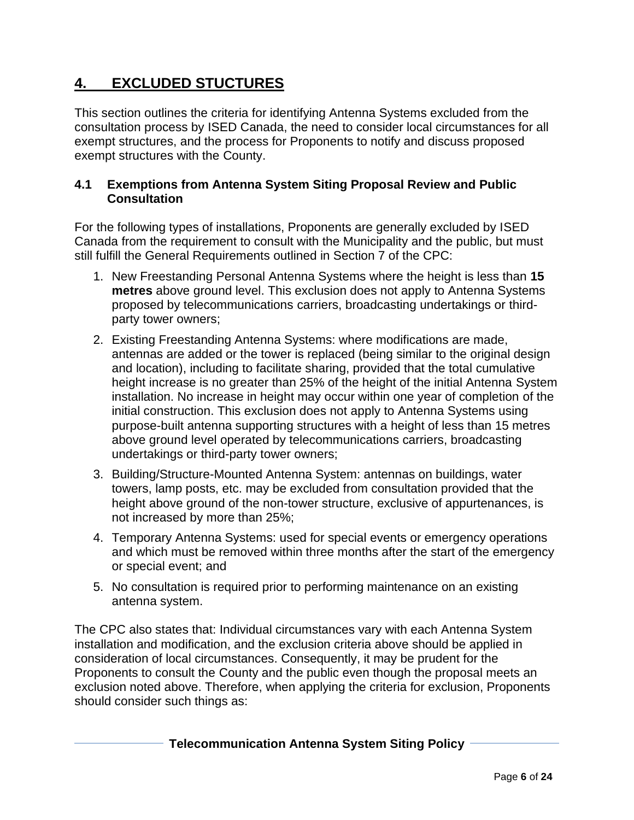# **4. EXCLUDED STUCTURES**

This section outlines the criteria for identifying Antenna Systems excluded from the consultation process by ISED Canada, the need to consider local circumstances for all exempt structures, and the process for Proponents to notify and discuss proposed exempt structures with the County.

#### **4.1 Exemptions from Antenna System Siting Proposal Review and Public Consultation**

For the following types of installations, Proponents are generally excluded by ISED Canada from the requirement to consult with the Municipality and the public, but must still fulfill the General Requirements outlined in Section 7 of the CPC:

- 1. New Freestanding Personal Antenna Systems where the height is less than **15 metres** above ground level. This exclusion does not apply to Antenna Systems proposed by telecommunications carriers, broadcasting undertakings or thirdparty tower owners;
- 2. Existing Freestanding Antenna Systems: where modifications are made, antennas are added or the tower is replaced (being similar to the original design and location), including to facilitate sharing, provided that the total cumulative height increase is no greater than 25% of the height of the initial Antenna System installation. No increase in height may occur within one year of completion of the initial construction. This exclusion does not apply to Antenna Systems using purpose-built antenna supporting structures with a height of less than 15 metres above ground level operated by telecommunications carriers, broadcasting undertakings or third-party tower owners;
- 3. Building/Structure-Mounted Antenna System: antennas on buildings, water towers, lamp posts, etc. may be excluded from consultation provided that the height above ground of the non-tower structure, exclusive of appurtenances, is not increased by more than 25%;
- 4. Temporary Antenna Systems: used for special events or emergency operations and which must be removed within three months after the start of the emergency or special event; and
- 5. No consultation is required prior to performing maintenance on an existing antenna system.

The CPC also states that: Individual circumstances vary with each Antenna System installation and modification, and the exclusion criteria above should be applied in consideration of local circumstances. Consequently, it may be prudent for the Proponents to consult the County and the public even though the proposal meets an exclusion noted above. Therefore, when applying the criteria for exclusion, Proponents should consider such things as: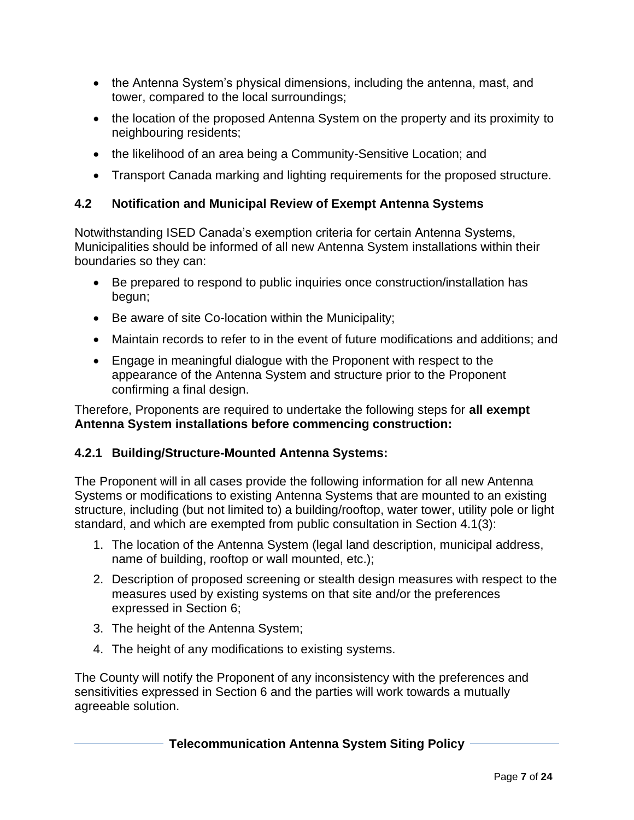- the Antenna System's physical dimensions, including the antenna, mast, and tower, compared to the local surroundings;
- the location of the proposed Antenna System on the property and its proximity to neighbouring residents;
- the likelihood of an area being a Community-Sensitive Location; and
- Transport Canada marking and lighting requirements for the proposed structure.

## **4.2 Notification and Municipal Review of Exempt Antenna Systems**

Notwithstanding ISED Canada's exemption criteria for certain Antenna Systems, Municipalities should be informed of all new Antenna System installations within their boundaries so they can:

- Be prepared to respond to public inquiries once construction/installation has begun;
- Be aware of site Co-location within the Municipality;
- Maintain records to refer to in the event of future modifications and additions; and
- Engage in meaningful dialogue with the Proponent with respect to the appearance of the Antenna System and structure prior to the Proponent confirming a final design.

Therefore, Proponents are required to undertake the following steps for **all exempt Antenna System installations before commencing construction:**

## **4.2.1 Building/Structure-Mounted Antenna Systems:**

The Proponent will in all cases provide the following information for all new Antenna Systems or modifications to existing Antenna Systems that are mounted to an existing structure, including (but not limited to) a building/rooftop, water tower, utility pole or light standard, and which are exempted from public consultation in Section 4.1(3):

- 1. The location of the Antenna System (legal land description, municipal address, name of building, rooftop or wall mounted, etc.);
- 2. Description of proposed screening or stealth design measures with respect to the measures used by existing systems on that site and/or the preferences expressed in Section 6;
- 3. The height of the Antenna System;
- 4. The height of any modifications to existing systems.

The County will notify the Proponent of any inconsistency with the preferences and sensitivities expressed in Section 6 and the parties will work towards a mutually agreeable solution.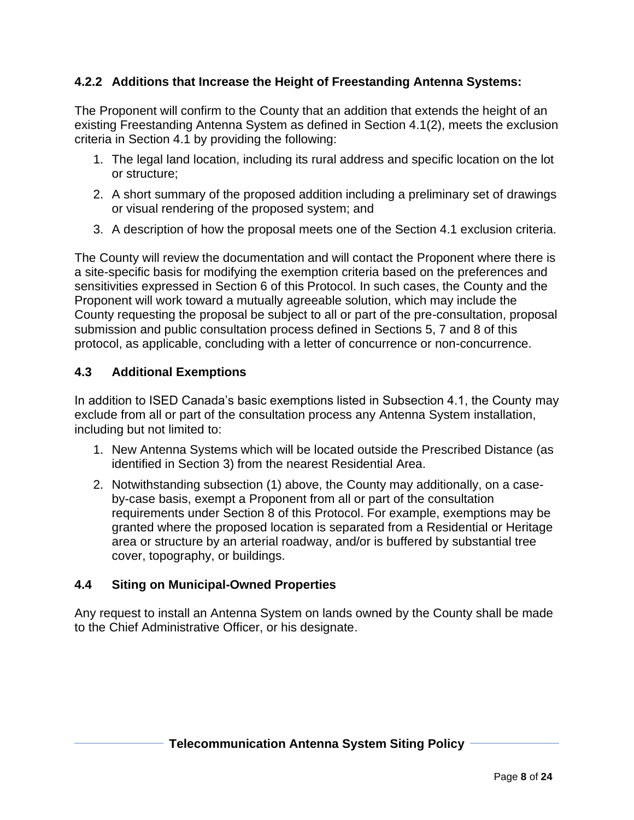## **4.2.2 Additions that Increase the Height of Freestanding Antenna Systems:**

The Proponent will confirm to the County that an addition that extends the height of an existing Freestanding Antenna System as defined in Section 4.1(2), meets the exclusion criteria in Section 4.1 by providing the following:

- 1. The legal land location, including its rural address and specific location on the lot or structure;
- 2. A short summary of the proposed addition including a preliminary set of drawings or visual rendering of the proposed system; and
- 3. A description of how the proposal meets one of the Section 4.1 exclusion criteria.

The County will review the documentation and will contact the Proponent where there is a site-specific basis for modifying the exemption criteria based on the preferences and sensitivities expressed in Section 6 of this Protocol. In such cases, the County and the Proponent will work toward a mutually agreeable solution, which may include the County requesting the proposal be subject to all or part of the pre-consultation, proposal submission and public consultation process defined in Sections 5, 7 and 8 of this protocol, as applicable, concluding with a letter of concurrence or non-concurrence.

#### **4.3 Additional Exemptions**

In addition to ISED Canada's basic exemptions listed in Subsection 4.1, the County may exclude from all or part of the consultation process any Antenna System installation, including but not limited to:

- 1. New Antenna Systems which will be located outside the Prescribed Distance (as identified in Section 3) from the nearest Residential Area.
- 2. Notwithstanding subsection (1) above, the County may additionally, on a caseby-case basis, exempt a Proponent from all or part of the consultation requirements under Section 8 of this Protocol. For example, exemptions may be granted where the proposed location is separated from a Residential or Heritage area or structure by an arterial roadway, and/or is buffered by substantial tree cover, topography, or buildings.

#### **4.4 Siting on Municipal-Owned Properties**

Any request to install an Antenna System on lands owned by the County shall be made to the Chief Administrative Officer, or his designate.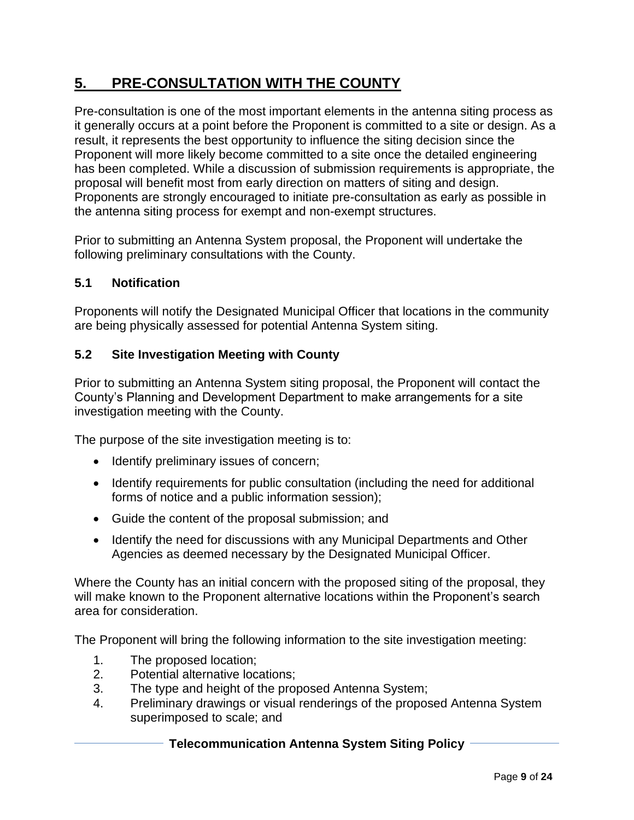# **5. PRE-CONSULTATION WITH THE COUNTY**

Pre-consultation is one of the most important elements in the antenna siting process as it generally occurs at a point before the Proponent is committed to a site or design. As a result, it represents the best opportunity to influence the siting decision since the Proponent will more likely become committed to a site once the detailed engineering has been completed. While a discussion of submission requirements is appropriate, the proposal will benefit most from early direction on matters of siting and design. Proponents are strongly encouraged to initiate pre-consultation as early as possible in the antenna siting process for exempt and non-exempt structures.

Prior to submitting an Antenna System proposal, the Proponent will undertake the following preliminary consultations with the County.

#### **5.1 Notification**

Proponents will notify the Designated Municipal Officer that locations in the community are being physically assessed for potential Antenna System siting.

#### **5.2 Site Investigation Meeting with County**

Prior to submitting an Antenna System siting proposal, the Proponent will contact the County's Planning and Development Department to make arrangements for a site investigation meeting with the County.

The purpose of the site investigation meeting is to:

- Identify preliminary issues of concern;
- Identify requirements for public consultation (including the need for additional forms of notice and a public information session);
- Guide the content of the proposal submission; and
- Identify the need for discussions with any Municipal Departments and Other Agencies as deemed necessary by the Designated Municipal Officer.

Where the County has an initial concern with the proposed siting of the proposal, they will make known to the Proponent alternative locations within the Proponent's search area for consideration.

The Proponent will bring the following information to the site investigation meeting:

- 1. The proposed location;
- 2. Potential alternative locations;
- 3. The type and height of the proposed Antenna System;
- 4. Preliminary drawings or visual renderings of the proposed Antenna System superimposed to scale; and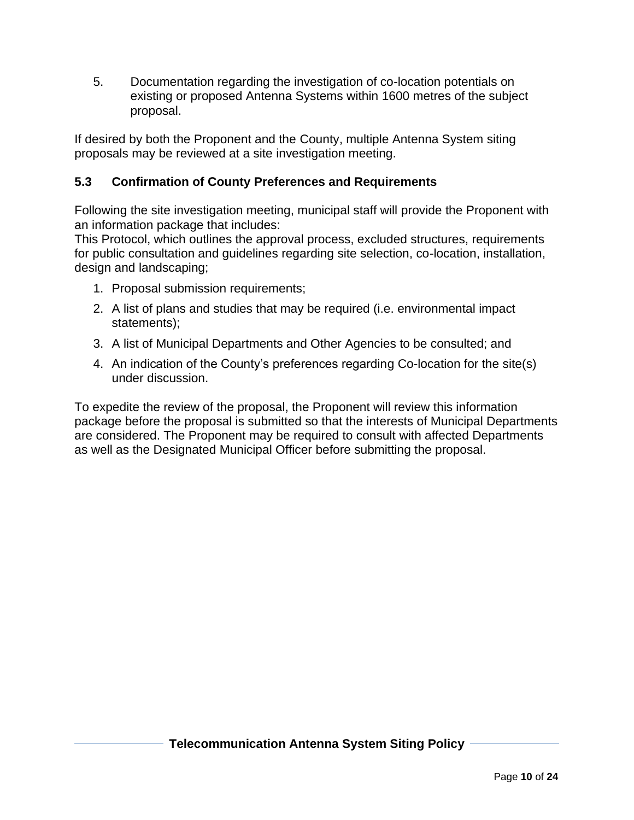5. Documentation regarding the investigation of co-location potentials on existing or proposed Antenna Systems within 1600 metres of the subject proposal.

If desired by both the Proponent and the County, multiple Antenna System siting proposals may be reviewed at a site investigation meeting.

## **5.3 Confirmation of County Preferences and Requirements**

Following the site investigation meeting, municipal staff will provide the Proponent with an information package that includes:

This Protocol, which outlines the approval process, excluded structures, requirements for public consultation and guidelines regarding site selection, co-location, installation, design and landscaping;

- 1. Proposal submission requirements;
- 2. A list of plans and studies that may be required (i.e. environmental impact statements);
- 3. A list of Municipal Departments and Other Agencies to be consulted; and
- 4. An indication of the County's preferences regarding Co-location for the site(s) under discussion.

To expedite the review of the proposal, the Proponent will review this information package before the proposal is submitted so that the interests of Municipal Departments are considered. The Proponent may be required to consult with affected Departments as well as the Designated Municipal Officer before submitting the proposal.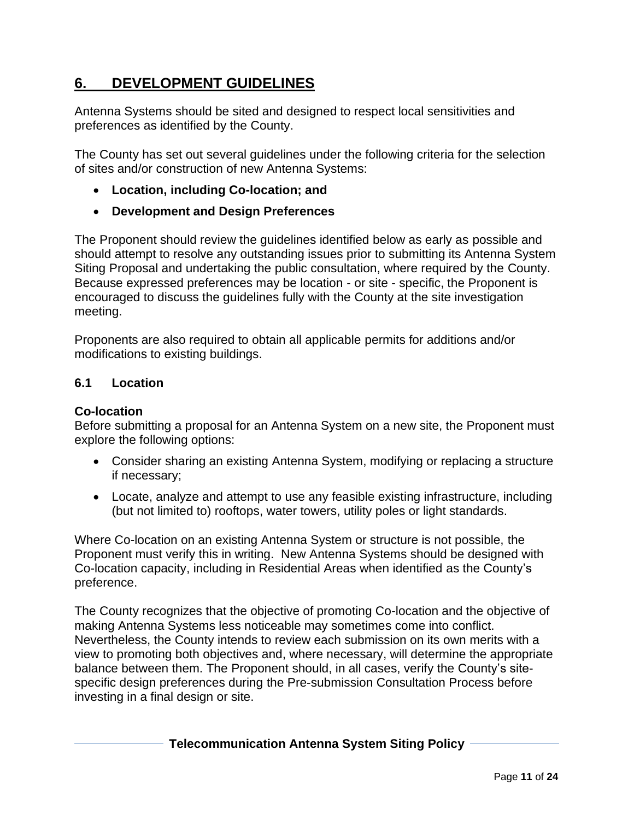# **6. DEVELOPMENT GUIDELINES**

Antenna Systems should be sited and designed to respect local sensitivities and preferences as identified by the County.

The County has set out several guidelines under the following criteria for the selection of sites and/or construction of new Antenna Systems:

- **Location, including Co-location; and**
- **Development and Design Preferences**

The Proponent should review the guidelines identified below as early as possible and should attempt to resolve any outstanding issues prior to submitting its Antenna System Siting Proposal and undertaking the public consultation, where required by the County. Because expressed preferences may be location - or site - specific, the Proponent is encouraged to discuss the guidelines fully with the County at the site investigation meeting.

Proponents are also required to obtain all applicable permits for additions and/or modifications to existing buildings.

#### **6.1 Location**

#### **Co-location**

Before submitting a proposal for an Antenna System on a new site, the Proponent must explore the following options:

- Consider sharing an existing Antenna System, modifying or replacing a structure if necessary;
- Locate, analyze and attempt to use any feasible existing infrastructure, including (but not limited to) rooftops, water towers, utility poles or light standards.

Where Co-location on an existing Antenna System or structure is not possible, the Proponent must verify this in writing. New Antenna Systems should be designed with Co-location capacity, including in Residential Areas when identified as the County's preference.

The County recognizes that the objective of promoting Co-location and the objective of making Antenna Systems less noticeable may sometimes come into conflict. Nevertheless, the County intends to review each submission on its own merits with a view to promoting both objectives and, where necessary, will determine the appropriate balance between them. The Proponent should, in all cases, verify the County's sitespecific design preferences during the Pre-submission Consultation Process before investing in a final design or site.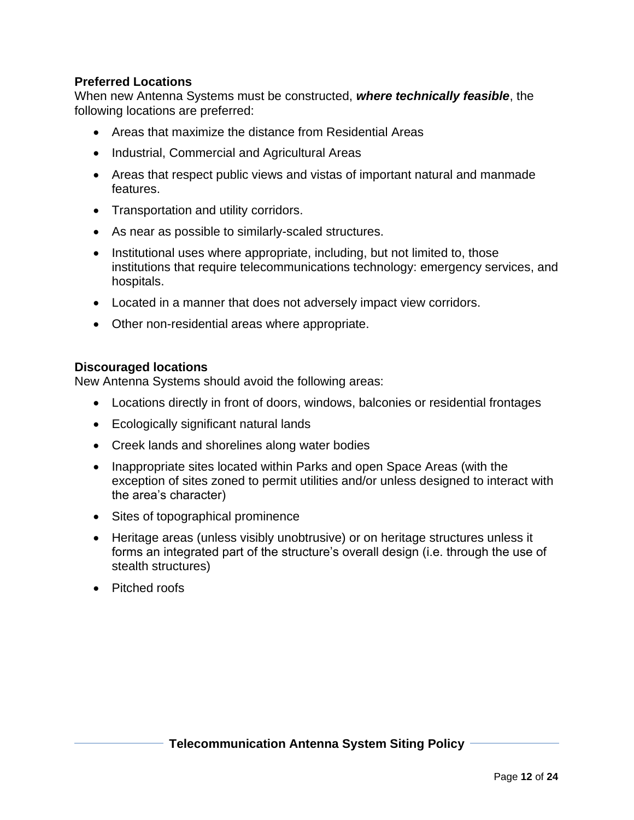#### **Preferred Locations**

When new Antenna Systems must be constructed, *where technically feasible*, the following locations are preferred:

- Areas that maximize the distance from Residential Areas
- Industrial, Commercial and Agricultural Areas
- Areas that respect public views and vistas of important natural and manmade features.
- Transportation and utility corridors.
- As near as possible to similarly-scaled structures.
- Institutional uses where appropriate, including, but not limited to, those institutions that require telecommunications technology: emergency services, and hospitals.
- Located in a manner that does not adversely impact view corridors.
- Other non-residential areas where appropriate.

#### **Discouraged locations**

New Antenna Systems should avoid the following areas:

- Locations directly in front of doors, windows, balconies or residential frontages
- Ecologically significant natural lands
- Creek lands and shorelines along water bodies
- Inappropriate sites located within Parks and open Space Areas (with the exception of sites zoned to permit utilities and/or unless designed to interact with the area's character)
- Sites of topographical prominence
- Heritage areas (unless visibly unobtrusive) or on heritage structures unless it forms an integrated part of the structure's overall design (i.e. through the use of stealth structures)
- Pitched roofs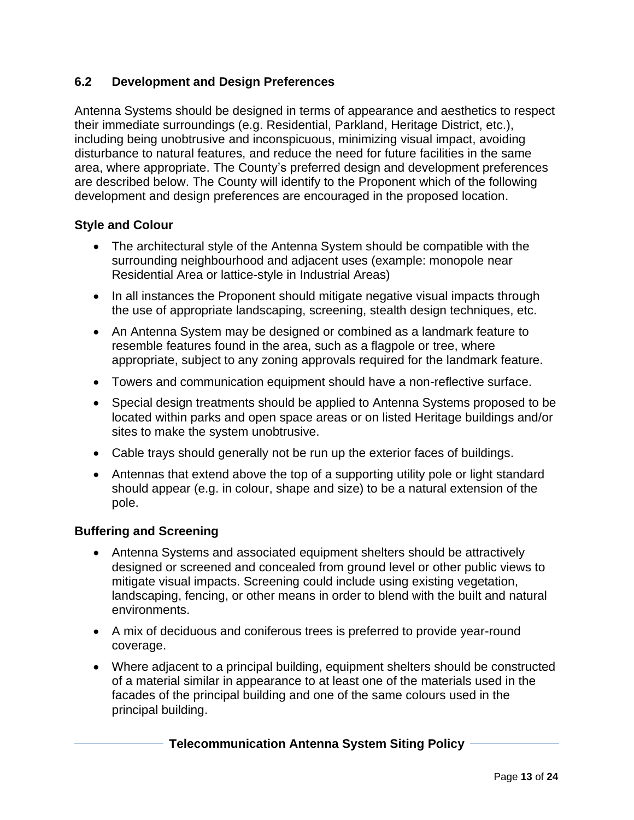## **6.2 Development and Design Preferences**

Antenna Systems should be designed in terms of appearance and aesthetics to respect their immediate surroundings (e.g. Residential, Parkland, Heritage District, etc.), including being unobtrusive and inconspicuous, minimizing visual impact, avoiding disturbance to natural features, and reduce the need for future facilities in the same area, where appropriate. The County's preferred design and development preferences are described below. The County will identify to the Proponent which of the following development and design preferences are encouraged in the proposed location.

#### **Style and Colour**

- The architectural style of the Antenna System should be compatible with the surrounding neighbourhood and adjacent uses (example: monopole near Residential Area or lattice-style in Industrial Areas)
- In all instances the Proponent should mitigate negative visual impacts through the use of appropriate landscaping, screening, stealth design techniques, etc.
- An Antenna System may be designed or combined as a landmark feature to resemble features found in the area, such as a flagpole or tree, where appropriate, subject to any zoning approvals required for the landmark feature.
- Towers and communication equipment should have a non-reflective surface.
- Special design treatments should be applied to Antenna Systems proposed to be located within parks and open space areas or on listed Heritage buildings and/or sites to make the system unobtrusive.
- Cable trays should generally not be run up the exterior faces of buildings.
- Antennas that extend above the top of a supporting utility pole or light standard should appear (e.g. in colour, shape and size) to be a natural extension of the pole.

#### **Buffering and Screening**

- Antenna Systems and associated equipment shelters should be attractively designed or screened and concealed from ground level or other public views to mitigate visual impacts. Screening could include using existing vegetation, landscaping, fencing, or other means in order to blend with the built and natural environments.
- A mix of deciduous and coniferous trees is preferred to provide year-round coverage.
- Where adjacent to a principal building, equipment shelters should be constructed of a material similar in appearance to at least one of the materials used in the facades of the principal building and one of the same colours used in the principal building.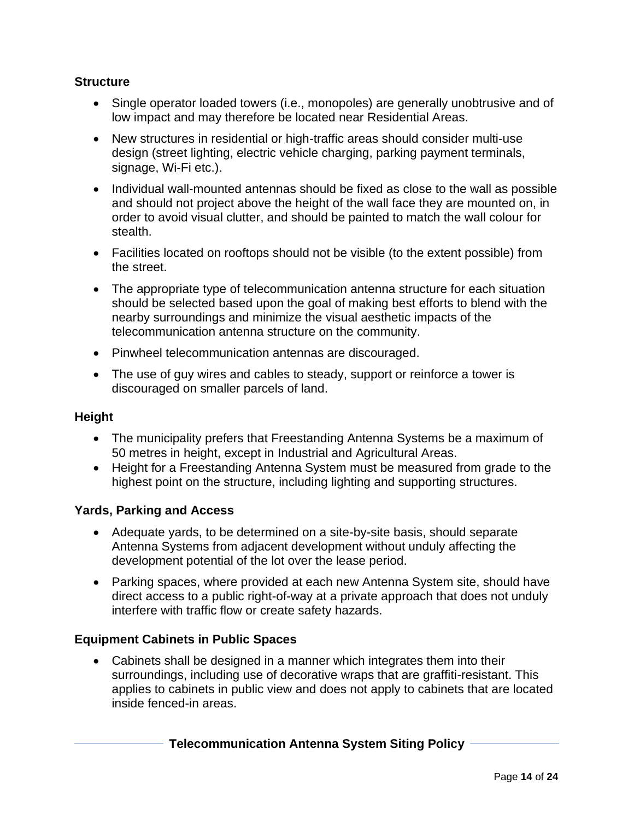#### **Structure**

- Single operator loaded towers (i.e., monopoles) are generally unobtrusive and of low impact and may therefore be located near Residential Areas.
- New structures in residential or high-traffic areas should consider multi-use design (street lighting, electric vehicle charging, parking payment terminals, signage, Wi-Fi etc.).
- Individual wall-mounted antennas should be fixed as close to the wall as possible and should not project above the height of the wall face they are mounted on, in order to avoid visual clutter, and should be painted to match the wall colour for stealth.
- Facilities located on rooftops should not be visible (to the extent possible) from the street.
- The appropriate type of telecommunication antenna structure for each situation should be selected based upon the goal of making best efforts to blend with the nearby surroundings and minimize the visual aesthetic impacts of the telecommunication antenna structure on the community.
- Pinwheel telecommunication antennas are discouraged.
- The use of guy wires and cables to steady, support or reinforce a tower is discouraged on smaller parcels of land.

#### **Height**

- The municipality prefers that Freestanding Antenna Systems be a maximum of 50 metres in height, except in Industrial and Agricultural Areas.
- Height for a Freestanding Antenna System must be measured from grade to the highest point on the structure, including lighting and supporting structures.

#### **Yards, Parking and Access**

- Adequate yards, to be determined on a site-by-site basis, should separate Antenna Systems from adjacent development without unduly affecting the development potential of the lot over the lease period.
- Parking spaces, where provided at each new Antenna System site, should have direct access to a public right-of-way at a private approach that does not unduly interfere with traffic flow or create safety hazards.

## **Equipment Cabinets in Public Spaces**

• Cabinets shall be designed in a manner which integrates them into their surroundings, including use of decorative wraps that are graffiti-resistant. This applies to cabinets in public view and does not apply to cabinets that are located inside fenced-in areas.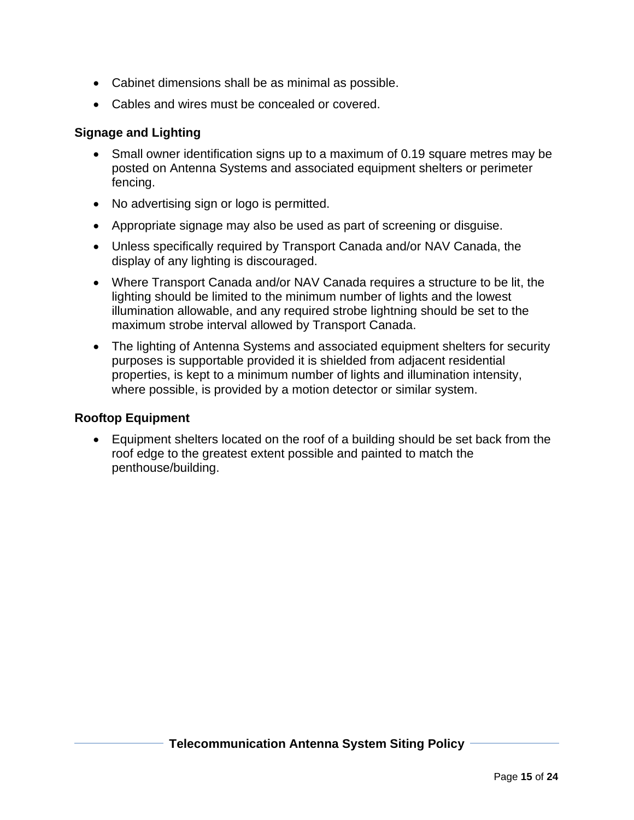- Cabinet dimensions shall be as minimal as possible.
- Cables and wires must be concealed or covered.

#### **Signage and Lighting**

- Small owner identification signs up to a maximum of 0.19 square metres may be posted on Antenna Systems and associated equipment shelters or perimeter fencing.
- No advertising sign or logo is permitted.
- Appropriate signage may also be used as part of screening or disguise.
- Unless specifically required by Transport Canada and/or NAV Canada, the display of any lighting is discouraged.
- Where Transport Canada and/or NAV Canada requires a structure to be lit, the lighting should be limited to the minimum number of lights and the lowest illumination allowable, and any required strobe lightning should be set to the maximum strobe interval allowed by Transport Canada.
- The lighting of Antenna Systems and associated equipment shelters for security purposes is supportable provided it is shielded from adjacent residential properties, is kept to a minimum number of lights and illumination intensity, where possible, is provided by a motion detector or similar system.

#### **Rooftop Equipment**

• Equipment shelters located on the roof of a building should be set back from the roof edge to the greatest extent possible and painted to match the penthouse/building.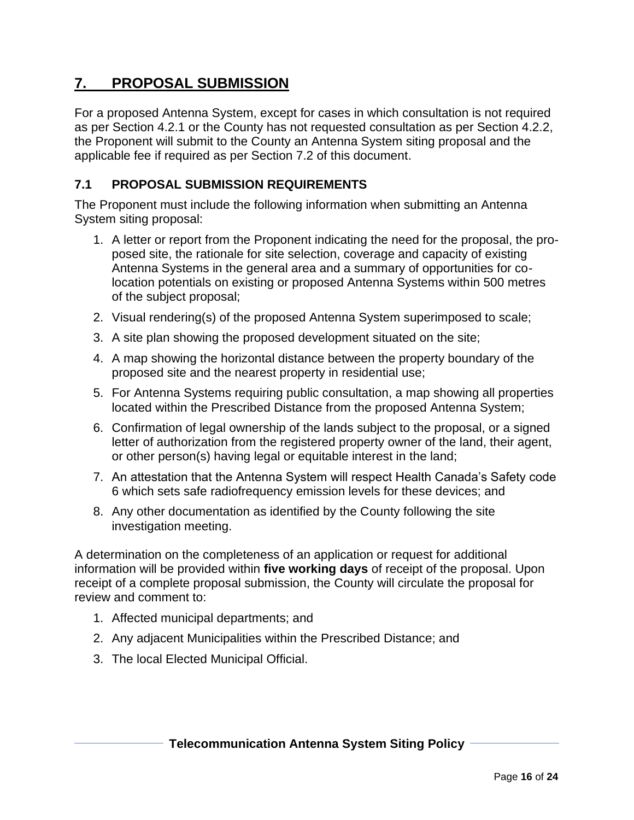# **7. PROPOSAL SUBMISSION**

For a proposed Antenna System, except for cases in which consultation is not required as per Section 4.2.1 or the County has not requested consultation as per Section 4.2.2, the Proponent will submit to the County an Antenna System siting proposal and the applicable fee if required as per Section 7.2 of this document.

## **7.1 PROPOSAL SUBMISSION REQUIREMENTS**

The Proponent must include the following information when submitting an Antenna System siting proposal:

- 1. A letter or report from the Proponent indicating the need for the proposal, the proposed site, the rationale for site selection, coverage and capacity of existing Antenna Systems in the general area and a summary of opportunities for colocation potentials on existing or proposed Antenna Systems within 500 metres of the subject proposal;
- 2. Visual rendering(s) of the proposed Antenna System superimposed to scale;
- 3. A site plan showing the proposed development situated on the site;
- 4. A map showing the horizontal distance between the property boundary of the proposed site and the nearest property in residential use;
- 5. For Antenna Systems requiring public consultation, a map showing all properties located within the Prescribed Distance from the proposed Antenna System;
- 6. Confirmation of legal ownership of the lands subject to the proposal, or a signed letter of authorization from the registered property owner of the land, their agent, or other person(s) having legal or equitable interest in the land;
- 7. An attestation that the Antenna System will respect Health Canada's Safety code 6 which sets safe radiofrequency emission levels for these devices; and
- 8. Any other documentation as identified by the County following the site investigation meeting.

A determination on the completeness of an application or request for additional information will be provided within **five working days** of receipt of the proposal. Upon receipt of a complete proposal submission, the County will circulate the proposal for review and comment to:

- 1. Affected municipal departments; and
- 2. Any adjacent Municipalities within the Prescribed Distance; and
- 3. The local Elected Municipal Official.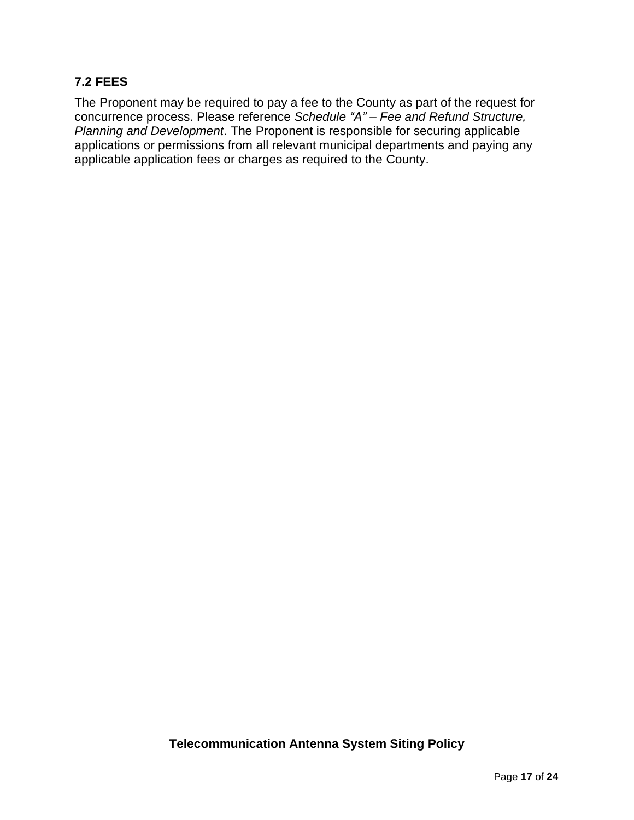### **7.2 FEES**

The Proponent may be required to pay a fee to the County as part of the request for concurrence process. Please reference *Schedule "A" – Fee and Refund Structure, Planning and Development*. The Proponent is responsible for securing applicable applications or permissions from all relevant municipal departments and paying any applicable application fees or charges as required to the County.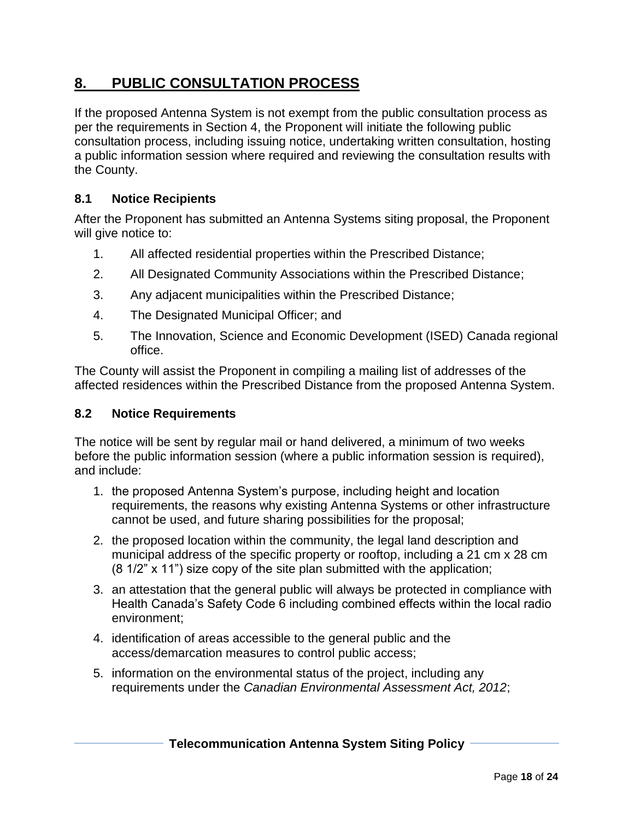# **8. PUBLIC CONSULTATION PROCESS**

If the proposed Antenna System is not exempt from the public consultation process as per the requirements in Section 4, the Proponent will initiate the following public consultation process, including issuing notice, undertaking written consultation, hosting a public information session where required and reviewing the consultation results with the County.

### **8.1 Notice Recipients**

After the Proponent has submitted an Antenna Systems siting proposal, the Proponent will give notice to:

- 1. All affected residential properties within the Prescribed Distance;
- 2. All Designated Community Associations within the Prescribed Distance;
- 3. Any adjacent municipalities within the Prescribed Distance;
- 4. The Designated Municipal Officer; and
- 5. The Innovation, Science and Economic Development (ISED) Canada regional office.

The County will assist the Proponent in compiling a mailing list of addresses of the affected residences within the Prescribed Distance from the proposed Antenna System.

#### **8.2 Notice Requirements**

The notice will be sent by regular mail or hand delivered, a minimum of two weeks before the public information session (where a public information session is required), and include:

- 1. the proposed Antenna System's purpose, including height and location requirements, the reasons why existing Antenna Systems or other infrastructure cannot be used, and future sharing possibilities for the proposal;
- 2. the proposed location within the community, the legal land description and municipal address of the specific property or rooftop, including a 21 cm x 28 cm (8 1/2" x 11") size copy of the site plan submitted with the application;
- 3. an attestation that the general public will always be protected in compliance with Health Canada's Safety Code 6 including combined effects within the local radio environment;
- 4. identification of areas accessible to the general public and the access/demarcation measures to control public access;
- 5. information on the environmental status of the project, including any requirements under the *Canadian Environmental Assessment Act, 2012*;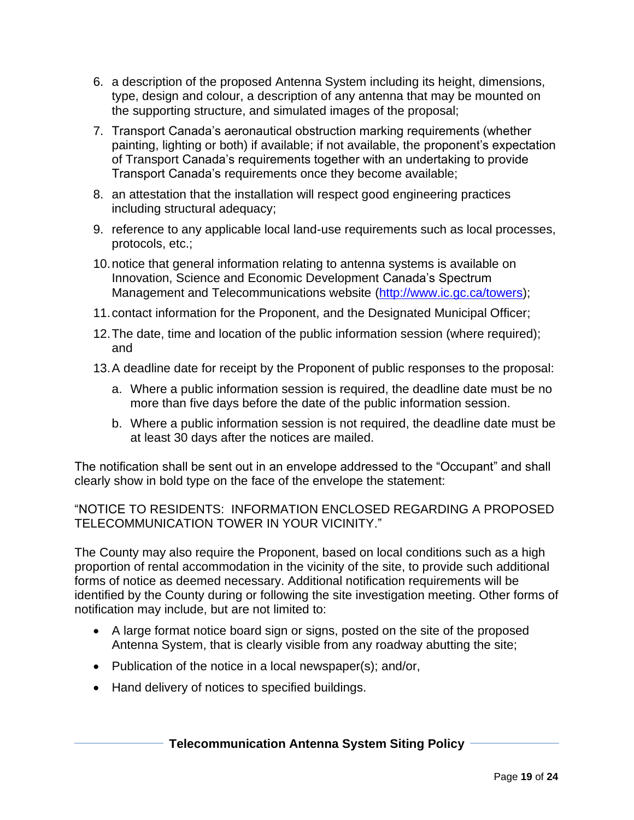- 6. a description of the proposed Antenna System including its height, dimensions, type, design and colour, a description of any antenna that may be mounted on the supporting structure, and simulated images of the proposal;
- 7. Transport Canada's aeronautical obstruction marking requirements (whether painting, lighting or both) if available; if not available, the proponent's expectation of Transport Canada's requirements together with an undertaking to provide Transport Canada's requirements once they become available;
- 8. an attestation that the installation will respect good engineering practices including structural adequacy;
- 9. reference to any applicable local land-use requirements such as local processes, protocols, etc.;
- 10.notice that general information relating to antenna systems is available on Innovation, Science and Economic Development Canada's Spectrum Management and Telecommunications website [\(http://www.ic.gc.ca/towers\)](http://www.ic.gc.ca/towers);
- 11.contact information for the Proponent, and the Designated Municipal Officer;
- 12.The date, time and location of the public information session (where required); and
- 13.A deadline date for receipt by the Proponent of public responses to the proposal:
	- a. Where a public information session is required, the deadline date must be no more than five days before the date of the public information session.
	- b. Where a public information session is not required, the deadline date must be at least 30 days after the notices are mailed.

The notification shall be sent out in an envelope addressed to the "Occupant" and shall clearly show in bold type on the face of the envelope the statement:

"NOTICE TO RESIDENTS: INFORMATION ENCLOSED REGARDING A PROPOSED TELECOMMUNICATION TOWER IN YOUR VICINITY."

The County may also require the Proponent, based on local conditions such as a high proportion of rental accommodation in the vicinity of the site, to provide such additional forms of notice as deemed necessary. Additional notification requirements will be identified by the County during or following the site investigation meeting. Other forms of notification may include, but are not limited to:

- A large format notice board sign or signs, posted on the site of the proposed Antenna System, that is clearly visible from any roadway abutting the site;
- Publication of the notice in a local newspaper(s); and/or,
- Hand delivery of notices to specified buildings.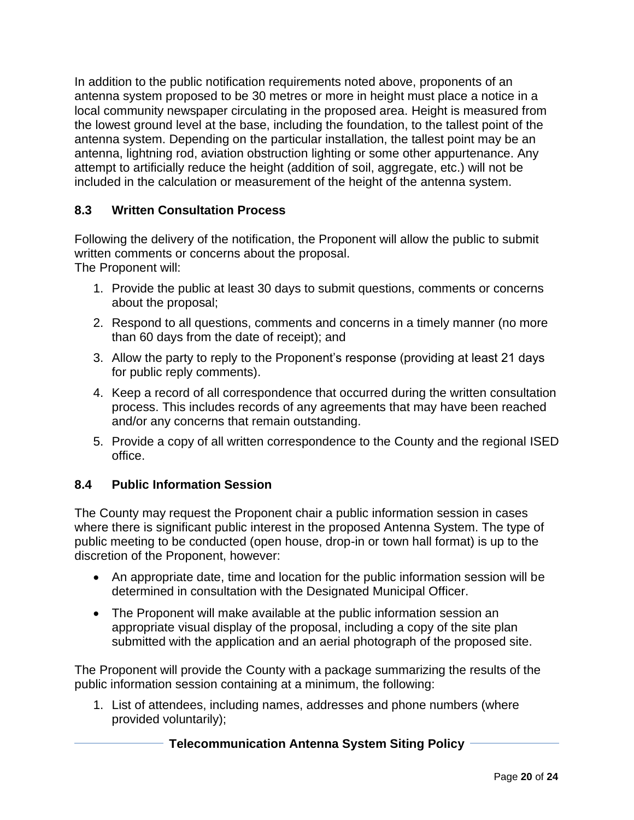In addition to the public notification requirements noted above, proponents of an antenna system proposed to be 30 metres or more in height must place a notice in a local community newspaper circulating in the proposed area. Height is measured from the lowest ground level at the base, including the foundation, to the tallest point of the antenna system. Depending on the particular installation, the tallest point may be an antenna, lightning rod, aviation obstruction lighting or some other appurtenance. Any attempt to artificially reduce the height (addition of soil, aggregate, etc.) will not be included in the calculation or measurement of the height of the antenna system.

## **8.3 Written Consultation Process**

Following the delivery of the notification, the Proponent will allow the public to submit written comments or concerns about the proposal. The Proponent will:

1. Provide the public at least 30 days to submit questions, comments or concerns about the proposal;

- 2. Respond to all questions, comments and concerns in a timely manner (no more than 60 days from the date of receipt); and
- 3. Allow the party to reply to the Proponent's response (providing at least 21 days for public reply comments).
- 4. Keep a record of all correspondence that occurred during the written consultation process. This includes records of any agreements that may have been reached and/or any concerns that remain outstanding.
- 5. Provide a copy of all written correspondence to the County and the regional ISED office.

## **8.4 Public Information Session**

The County may request the Proponent chair a public information session in cases where there is significant public interest in the proposed Antenna System. The type of public meeting to be conducted (open house, drop-in or town hall format) is up to the discretion of the Proponent, however:

- An appropriate date, time and location for the public information session will be determined in consultation with the Designated Municipal Officer.
- The Proponent will make available at the public information session an appropriate visual display of the proposal, including a copy of the site plan submitted with the application and an aerial photograph of the proposed site.

The Proponent will provide the County with a package summarizing the results of the public information session containing at a minimum, the following:

1. List of attendees, including names, addresses and phone numbers (where provided voluntarily);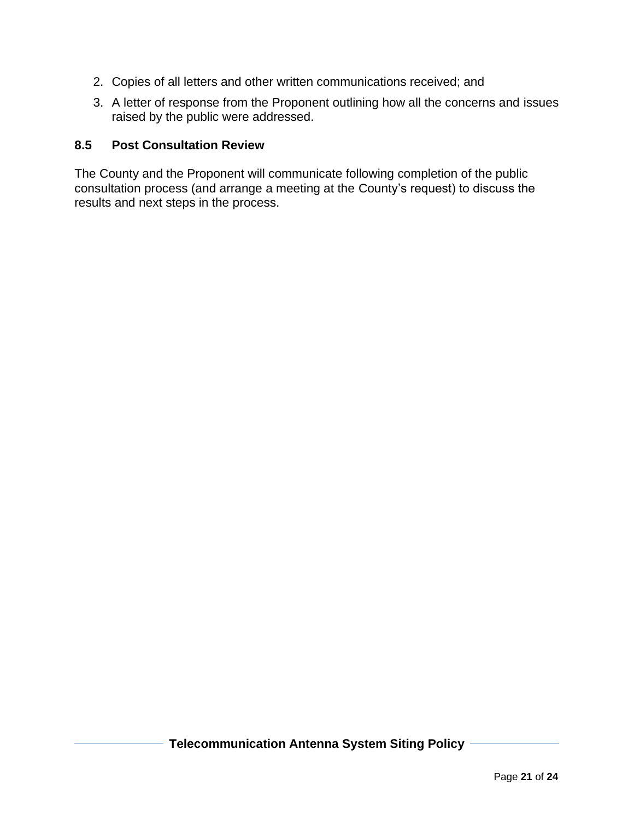- 2. Copies of all letters and other written communications received; and
- 3. A letter of response from the Proponent outlining how all the concerns and issues raised by the public were addressed.

#### **8.5 Post Consultation Review**

The County and the Proponent will communicate following completion of the public consultation process (and arrange a meeting at the County's request) to discuss the results and next steps in the process.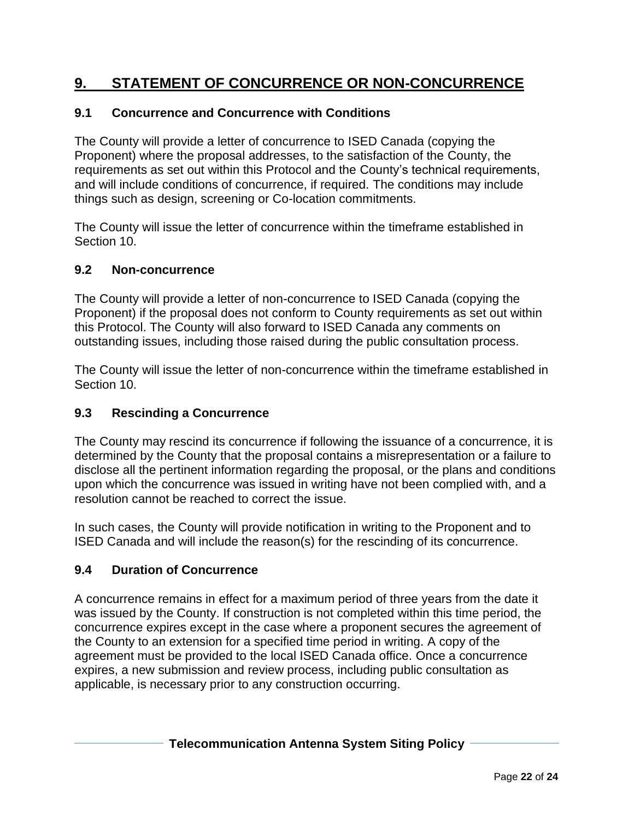# **9. STATEMENT OF CONCURRENCE OR NON-CONCURRENCE**

### **9.1 Concurrence and Concurrence with Conditions**

The County will provide a letter of concurrence to ISED Canada (copying the Proponent) where the proposal addresses, to the satisfaction of the County, the requirements as set out within this Protocol and the County's technical requirements, and will include conditions of concurrence, if required. The conditions may include things such as design, screening or Co-location commitments.

The County will issue the letter of concurrence within the timeframe established in Section 10.

#### **9.2 Non-concurrence**

The County will provide a letter of non-concurrence to ISED Canada (copying the Proponent) if the proposal does not conform to County requirements as set out within this Protocol. The County will also forward to ISED Canada any comments on outstanding issues, including those raised during the public consultation process.

The County will issue the letter of non-concurrence within the timeframe established in Section 10.

#### **9.3 Rescinding a Concurrence**

The County may rescind its concurrence if following the issuance of a concurrence, it is determined by the County that the proposal contains a misrepresentation or a failure to disclose all the pertinent information regarding the proposal, or the plans and conditions upon which the concurrence was issued in writing have not been complied with, and a resolution cannot be reached to correct the issue.

In such cases, the County will provide notification in writing to the Proponent and to ISED Canada and will include the reason(s) for the rescinding of its concurrence.

#### **9.4 Duration of Concurrence**

A concurrence remains in effect for a maximum period of three years from the date it was issued by the County. If construction is not completed within this time period, the concurrence expires except in the case where a proponent secures the agreement of the County to an extension for a specified time period in writing. A copy of the agreement must be provided to the local ISED Canada office. Once a concurrence expires, a new submission and review process, including public consultation as applicable, is necessary prior to any construction occurring.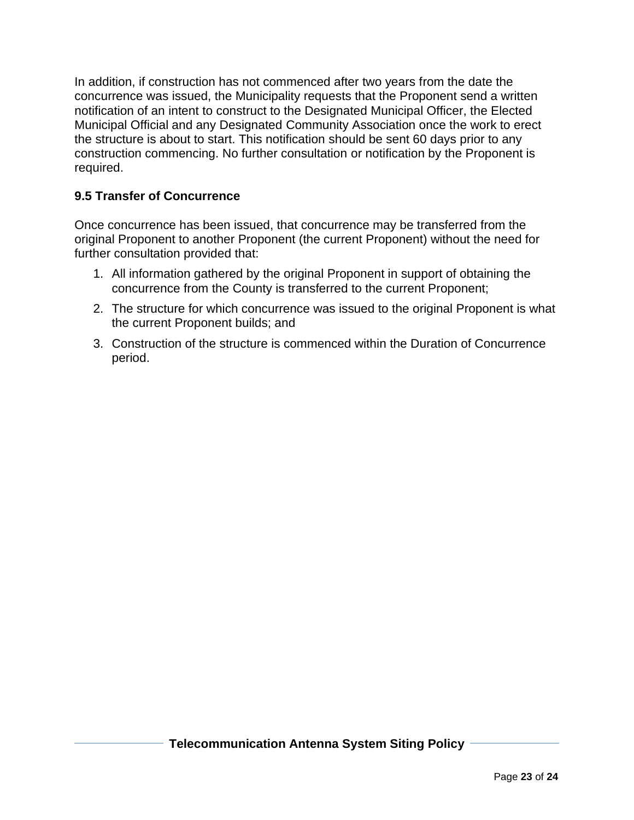In addition, if construction has not commenced after two years from the date the concurrence was issued, the Municipality requests that the Proponent send a written notification of an intent to construct to the Designated Municipal Officer, the Elected Municipal Official and any Designated Community Association once the work to erect the structure is about to start. This notification should be sent 60 days prior to any construction commencing. No further consultation or notification by the Proponent is required.

## **9.5 Transfer of Concurrence**

Once concurrence has been issued, that concurrence may be transferred from the original Proponent to another Proponent (the current Proponent) without the need for further consultation provided that:

- 1. All information gathered by the original Proponent in support of obtaining the concurrence from the County is transferred to the current Proponent;
- 2. The structure for which concurrence was issued to the original Proponent is what the current Proponent builds; and
- 3. Construction of the structure is commenced within the Duration of Concurrence period.